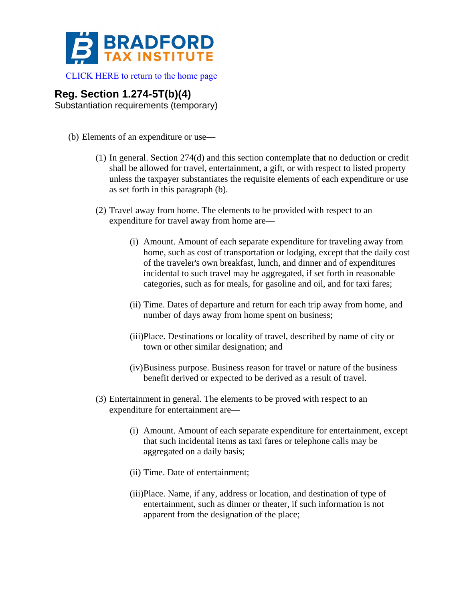

 [CLICK HERE to return to the home page](http://www.bradfordtaxinstitute.com/) 

## **Reg. Section 1.274-5T(b)(4)**

Substantiation requirements (temporary)

- (b) Elements of an expenditure or use—
	- (1) In general. Section 274(d) and this section contemplate that no deduction or credit shall be allowed for travel, entertainment, a gift, or with respect to listed property unless the taxpayer substantiates the requisite elements of each expenditure or use as set forth in this paragraph (b).
	- (2) Travel away from home. The elements to be provided with respect to an expenditure for travel away from home are—
		- (i) Amount. Amount of each separate expenditure for traveling away from home, such as cost of transportation or lodging, except that the daily cost of the traveler's own breakfast, lunch, and dinner and of expenditures incidental to such travel may be aggregated, if set forth in reasonable categories, such as for meals, for gasoline and oil, and for taxi fares;
		- (ii) Time. Dates of departure and return for each trip away from home, and number of days away from home spent on business;
		- (iii)Place. Destinations or locality of travel, described by name of city or town or other similar designation; and
		- (iv)Business purpose. Business reason for travel or nature of the business benefit derived or expected to be derived as a result of travel.
	- (3) Entertainment in general. The elements to be proved with respect to an expenditure for entertainment are—
		- (i) Amount. Amount of each separate expenditure for entertainment, except that such incidental items as taxi fares or telephone calls may be aggregated on a daily basis;
		- (ii) Time. Date of entertainment;
		- (iii)Place. Name, if any, address or location, and destination of type of entertainment, such as dinner or theater, if such information is not apparent from the designation of the place;